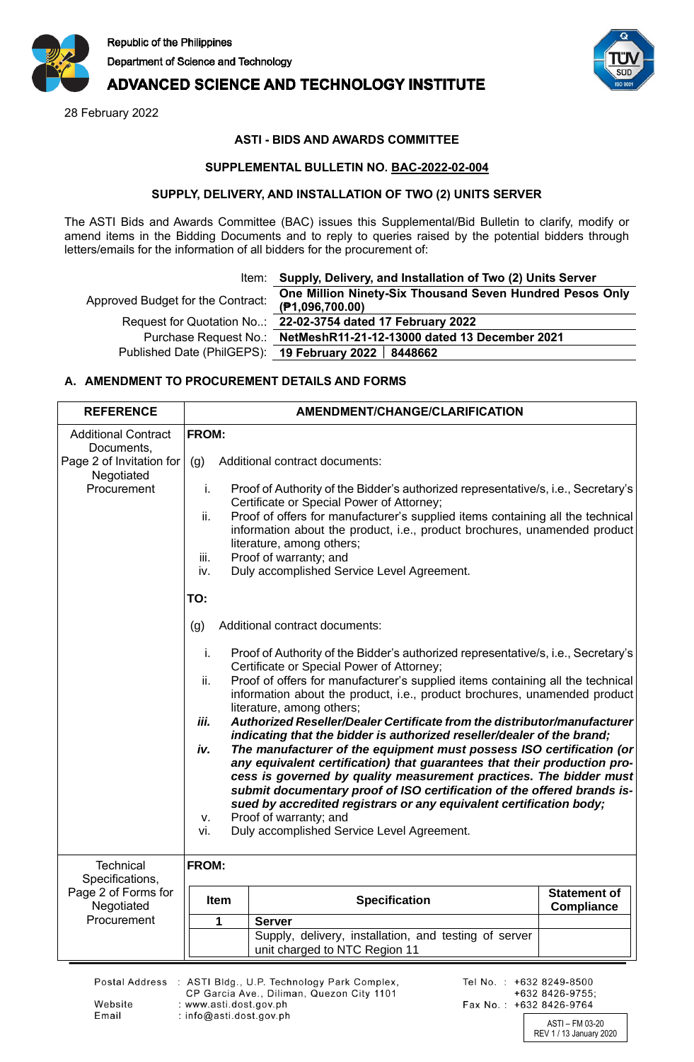

# **ADVANCED SCIENCE AND TECHNOLOGY INSTITUTE**

28 February 2022



### **ASTI - BIDS AND AWARDS COMMITTEE**

#### **SUPPLEMENTAL BULLETIN NO. BAC-2022-02-004**

#### **SUPPLY, DELIVERY, AND INSTALLATION OF TWO (2) UNITS SERVER**

The ASTI Bids and Awards Committee (BAC) issues this Supplemental/Bid Bulletin to clarify, modify or amend items in the Bidding Documents and to reply to queries raised by the potential bidders through letters/emails for the information of all bidders for the procurement of:

|  | Item: Supply, Delivery, and Installation of Two (2) Units Server |  |
|--|------------------------------------------------------------------|--|
|--|------------------------------------------------------------------|--|

Approved Budget for the Contract: **One Million Ninety-Six Thousand Seven Hundred Pesos Only (₱1,096,700.00)** Request for Quotation No..: **22-02-3754 dated 17 February 2022**

Purchase Request No.: **NetMeshR11-21-12-13000 dated 13 December 2021** Published Date (PhilGEPS): **19 February 2022 8448662**

## **A. AMENDMENT TO PROCUREMENT DETAILS AND FORMS**

| <b>REFERENCE</b>                         | <b>AMENDMENT/CHANGE/CLARIFICATION</b> |                                                                                                                                                                                                                                                                                                                                                                                                                                                                                                                                                                                                                                                                                                                                                                                                                                                                                                                                      |                                          |  |
|------------------------------------------|---------------------------------------|--------------------------------------------------------------------------------------------------------------------------------------------------------------------------------------------------------------------------------------------------------------------------------------------------------------------------------------------------------------------------------------------------------------------------------------------------------------------------------------------------------------------------------------------------------------------------------------------------------------------------------------------------------------------------------------------------------------------------------------------------------------------------------------------------------------------------------------------------------------------------------------------------------------------------------------|------------------------------------------|--|
| <b>Additional Contract</b><br>Documents, | FROM:                                 |                                                                                                                                                                                                                                                                                                                                                                                                                                                                                                                                                                                                                                                                                                                                                                                                                                                                                                                                      |                                          |  |
| Page 2 of Invitation for<br>Negotiated   | (g)                                   | Additional contract documents:                                                                                                                                                                                                                                                                                                                                                                                                                                                                                                                                                                                                                                                                                                                                                                                                                                                                                                       |                                          |  |
| Procurement                              | i.<br>ii.<br>iii.<br>iv.<br>TO:       | Proof of Authority of the Bidder's authorized representative/s, i.e., Secretary's<br>Certificate or Special Power of Attorney;<br>Proof of offers for manufacturer's supplied items containing all the technical<br>information about the product, i.e., product brochures, unamended product<br>literature, among others;<br>Proof of warranty; and<br>Duly accomplished Service Level Agreement.                                                                                                                                                                                                                                                                                                                                                                                                                                                                                                                                   |                                          |  |
|                                          |                                       |                                                                                                                                                                                                                                                                                                                                                                                                                                                                                                                                                                                                                                                                                                                                                                                                                                                                                                                                      |                                          |  |
|                                          | (g)                                   | Additional contract documents:                                                                                                                                                                                                                                                                                                                                                                                                                                                                                                                                                                                                                                                                                                                                                                                                                                                                                                       |                                          |  |
|                                          | i.<br>ii.<br>iii.<br>iv.<br>ν.<br>vi. | Proof of Authority of the Bidder's authorized representative/s, i.e., Secretary's<br>Certificate or Special Power of Attorney;<br>Proof of offers for manufacturer's supplied items containing all the technical<br>information about the product, i.e., product brochures, unamended product<br>literature, among others;<br>Authorized Reseller/Dealer Certificate from the distributor/manufacturer<br>indicating that the bidder is authorized reseller/dealer of the brand;<br>The manufacturer of the equipment must possess ISO certification (or<br>any equivalent certification) that guarantees that their production pro-<br>cess is governed by quality measurement practices. The bidder must<br>submit documentary proof of ISO certification of the offered brands is-<br>sued by accredited registrars or any equivalent certification body;<br>Proof of warranty; and<br>Duly accomplished Service Level Agreement. |                                          |  |
| <b>Technical</b>                         | FROM:                                 |                                                                                                                                                                                                                                                                                                                                                                                                                                                                                                                                                                                                                                                                                                                                                                                                                                                                                                                                      |                                          |  |
| Specifications,                          |                                       |                                                                                                                                                                                                                                                                                                                                                                                                                                                                                                                                                                                                                                                                                                                                                                                                                                                                                                                                      |                                          |  |
| Page 2 of Forms for<br>Negotiated        | <b>Item</b>                           | <b>Specification</b>                                                                                                                                                                                                                                                                                                                                                                                                                                                                                                                                                                                                                                                                                                                                                                                                                                                                                                                 | <b>Statement of</b><br><b>Compliance</b> |  |
| Procurement                              | 1                                     | <b>Server</b>                                                                                                                                                                                                                                                                                                                                                                                                                                                                                                                                                                                                                                                                                                                                                                                                                                                                                                                        |                                          |  |
|                                          |                                       | Supply, delivery, installation, and testing of server<br>unit charged to NTC Region 11                                                                                                                                                                                                                                                                                                                                                                                                                                                                                                                                                                                                                                                                                                                                                                                                                                               |                                          |  |

Website

Email

Postal Address : ASTI Bldg., U.P. Technology Park Complex, CP Garcia Ave., Diliman, Quezon City 1101 : www.asti.dost.gov.ph : info@asti.dost.gov.ph

Tel No.: +632 8249-8500 +632 8426-9755: Fax No.: +632 8426-9764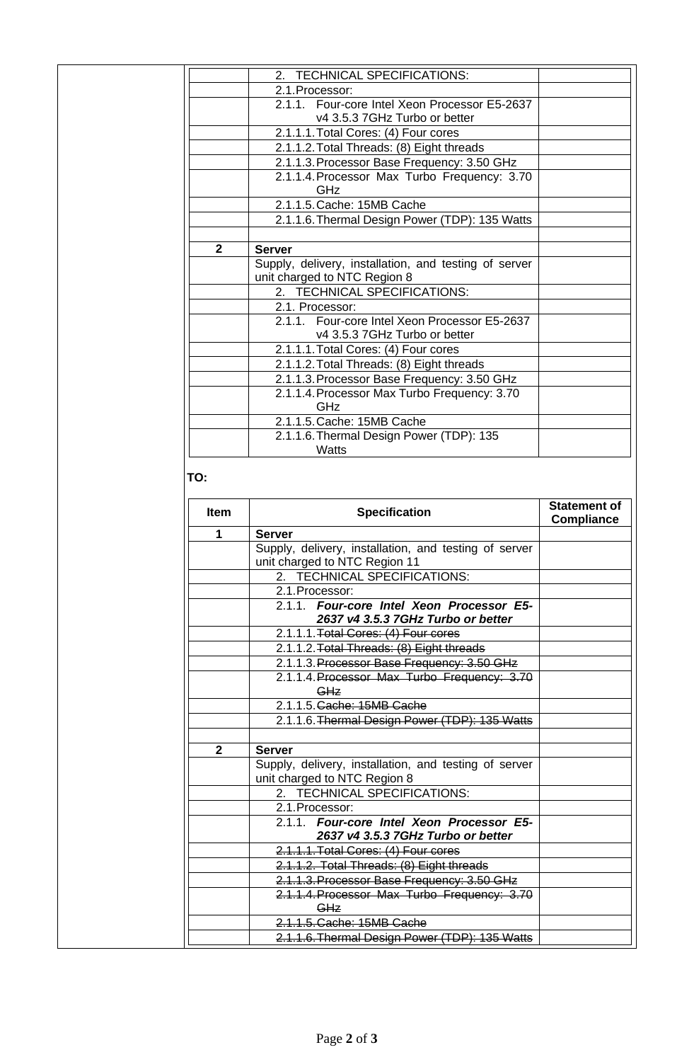|              | 2. TECHNICAL SPECIFICATIONS:                          |  |
|--------------|-------------------------------------------------------|--|
|              | 2.1. Processor:                                       |  |
|              | 2.1.1. Four-core Intel Xeon Processor E5-2637         |  |
|              | v4 3.5.3 7GHz Turbo or better                         |  |
|              | 2.1.1.1. Total Cores: (4) Four cores                  |  |
|              | 2.1.1.2. Total Threads: (8) Eight threads             |  |
|              | 2.1.1.3. Processor Base Frequency: 3.50 GHz           |  |
|              | 2.1.1.4. Processor Max Turbo Frequency: 3.70          |  |
|              | GHz                                                   |  |
|              | 2.1.1.5. Cache: 15MB Cache                            |  |
|              | 2.1.1.6. Thermal Design Power (TDP): 135 Watts        |  |
|              |                                                       |  |
| $\mathbf{2}$ | <b>Server</b>                                         |  |
|              | Supply, delivery, installation, and testing of server |  |
|              | unit charged to NTC Region 8                          |  |
|              | 2. TECHNICAL SPECIFICATIONS:                          |  |
|              | 2.1. Processor:                                       |  |
|              | 2.1.1. Four-core Intel Xeon Processor E5-2637         |  |
|              |                                                       |  |
|              | v4 3.5.3 7GHz Turbo or better                         |  |
|              | 2.1.1.1. Total Cores: (4) Four cores                  |  |
|              | 2.1.1.2. Total Threads: (8) Eight threads             |  |
|              | 2.1.1.3. Processor Base Frequency: 3.50 GHz           |  |
|              | 2.1.1.4. Processor Max Turbo Frequency: 3.70          |  |
|              | GHz                                                   |  |
|              | 2.1.1.5. Cache: 15MB Cache                            |  |
|              | 2.1.1.6. Thermal Design Power (TDP): 135<br>Watts     |  |

# **TO:**

| <b>Item</b>  | <b>Specification</b>                                                                   | <b>Statement of</b><br><b>Compliance</b> |
|--------------|----------------------------------------------------------------------------------------|------------------------------------------|
| 1            | <b>Server</b>                                                                          |                                          |
|              | Supply, delivery, installation, and testing of server<br>unit charged to NTC Region 11 |                                          |
|              | 2. TECHNICAL SPECIFICATIONS:                                                           |                                          |
|              | 2.1. Processor:                                                                        |                                          |
|              | 2.1.1. Four-core Intel Xeon Processor E5-<br>2637 v4 3.5.3 7GHz Turbo or better        |                                          |
|              | 2.1.1.1. Total Cores: (4) Four cores                                                   |                                          |
|              | 2.1.1.2. Total Threads: (8) Eight threads                                              |                                          |
|              | 2.1.1.3. Processor Base Frequency: 3.50 GHz                                            |                                          |
|              | 2.1.1.4. Processor Max Turbo Frequency: 3.70<br>GHz                                    |                                          |
|              | 2.1.1.5. Cache: 15MB Cache                                                             |                                          |
|              | 2.1.1.6. Thermal Design Power (TDP): 135 Watts                                         |                                          |
| $\mathbf{2}$ | <b>Server</b>                                                                          |                                          |
|              | Supply, delivery, installation, and testing of server<br>unit charged to NTC Region 8  |                                          |
|              | 2. TECHNICAL SPECIFICATIONS:                                                           |                                          |
|              | 2.1. Processor:                                                                        |                                          |
|              | 2.1.1. Four-core Intel Xeon Processor E5-<br>2637 v4 3.5.3 7GHz Turbo or better        |                                          |
|              | 2.1.1.1. Total Cores: (4) Four cores                                                   |                                          |
|              | 2.1.1.2. Total Threads: (8) Eight threads                                              |                                          |
|              | 2.1.1.3. Processor Base Frequency: 3.50 GHz                                            |                                          |
|              | 2.1.1.4. Processor Max Turbo Frequency: 3.70<br>GHz                                    |                                          |
|              | 2.1.1.5. Cache: 15MB Cache                                                             |                                          |
|              | 2.1.1.6. Thermal Design Power (TDP): 135 Watts                                         |                                          |